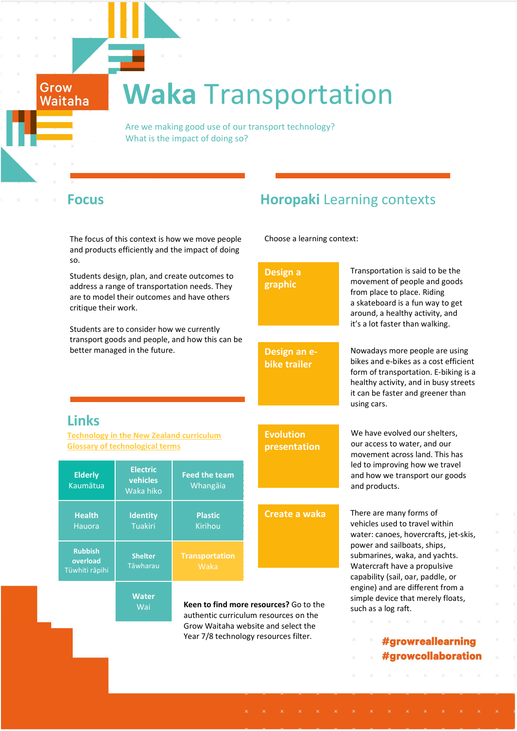# **Waka** Transportation

 Are we making good use of our transport technology? What is the impact of doing so?

Grow Waitaha

> The focus of this context is how we move people and products efficiently and the impact of doing so.

Students design, plan, and create outcomes to address a range of transportation needs. They are to model their outcomes and have others critique their work.

Students are to consider how we currently transport goods and people, and how this can be better managed in the future.

## **Focus Horopaki** Learning contexts

Choose a learning context:

**Design a graphic**

Transportation is said to be the movement of people and goods from place to place. Riding a skateboard is a fun way to get around, a healthy activity, and it's a lot faster than walking.

Nowadays more people are using bikes and e-bikes as a cost efficient form of transportation. E-biking is a healthy activity, and in busy streets it can be faster and greener than using cars.

We have evolved our shelters, our access to water, and our movement across land. This has led to improving how we travel and how we transport our goods

and products.

### **Links**

**[Technology in the New Zealand curriculum](http://technology.tki.org.nz/Technology-in-the-NZC) [Glossary of technological terms](http://technology.tki.org.nz/Glossary)**

| <b>Elderly</b><br>Kaumātua                   | <b>Electric</b><br><b>vehicles</b><br>Waka hiko | <b>Feed the team</b><br>Whangāia |  |
|----------------------------------------------|-------------------------------------------------|----------------------------------|--|
| <b>Health</b><br>Hauora                      | <b>Identity</b><br><b>Tuakiri</b>               | <b>Plastic</b><br>Kirihou        |  |
| <b>Rubbish</b><br>overload<br>Tūwhiti rāpihi | <b>Shelter</b><br>Tāwharau                      | <b>Transportation</b><br>Waka    |  |
|                                              |                                                 |                                  |  |

**Water Wai** 

**Evolution presentation**

**Design an ebike trailer**

# **Create a waka** There are many forms of

Year 7/8 technology resources filter.

vehicles used to travel within water: canoes, hovercrafts, jet-skis, power and sailboats, ships, submarines, waka, and yachts. Watercraft have a propulsive capability (sail, oar, paddle, or engine) and are different from a simple device that merely floats, such as a log raft.

> #growreallearning #growcollaboration

**Keen to find more resources?** Go to the authentic curriculum resources on the Grow Waitaha website and select the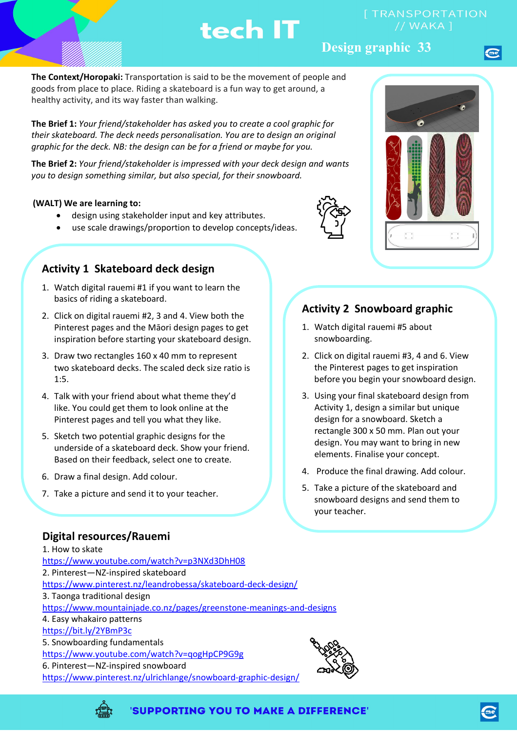## **Design graphic 33**

**The Context/Horopaki:** Transportation is said to be the movement of people and goods from place to place. Riding a skateboard is a fun way to get around, a healthy activity, and its way faster than walking.

**The Brief 1:** *Your friend/stakeholder has asked you to create a cool graphic for their skateboard. The deck needs personalisation. You are to design an original graphic for the deck. NB: the design can be for a friend or maybe for you.*

**The Brief 2:** *Your friend/stakeholder is impressed with your deck design and wants you to design something similar, but also special, for their snowboard.*

#### **(WALT) We are learning to:**

- design using stakeholder input and key attributes.
- use scale drawings/proportion to develop concepts/ideas.

#### **Activity 1 Skateboard deck design**

- 1. Watch digital rauemi #1 if you want to learn the basics of riding a skateboard.
- 2. Click on digital rauemi #2, 3 and 4. View both the Pinterest pages and the Māori design pages to get inspiration before starting your skateboard design.
- 3. Draw two rectangles 160 x 40 mm to represent two skateboard decks. The scaled deck size ratio is 1:5.
- 4. Talk with your friend about what theme they'd like. You could get them to look online at the Pinterest pages and tell you what they like.
- 5. Sketch two potential graphic designs for the underside of a skateboard deck. Show your friend. Based on their feedback, select one to create.
- 6. Draw a final design. Add colour.
- 7. Take a picture and send it to your teacher.

#### **Digital resources/Rauemi**

1. How to skate <https://www.youtube.com/watch?v=p3NXd3DhH08> 2. Pinterest—NZ-inspired skateboard <https://www.pinterest.nz/leandrobessa/skateboard-deck-design/> 3. Taonga traditional design <https://www.mountainjade.co.nz/pages/greenstone-meanings-and-designs> 4. Easy whakairo patterns <https://bit.ly/2YBmP3c> 5. Snowboarding fundamentals <https://www.youtube.com/watch?v=qogHpCP9G9g> 6. Pinterest—NZ-inspired snowboard <https://www.pinterest.nz/ulrichlange/snowboard-graphic-design/>





### **Activity 2 Snowboard graphic**

- 1. Watch digital rauemi #5 about snowboarding.
- 2. Click on digital rauemi #3, 4 and 6. View the Pinterest pages to get inspiration before you begin your snowboard design.
- 3. Using your final skateboard design from Activity 1, design a similar but unique design for a snowboard. Sketch a rectangle 300 x 50 mm. Plan out your design. You may want to bring in new elements. Finalise your concept.
- 4. Produce the final drawing. Add colour.
- 5. Take a picture of the skateboard and snowboard designs and send them to your teacher.



'SUPPORTING YOU TO MAKE A DIFFERENCE'



//WAKA1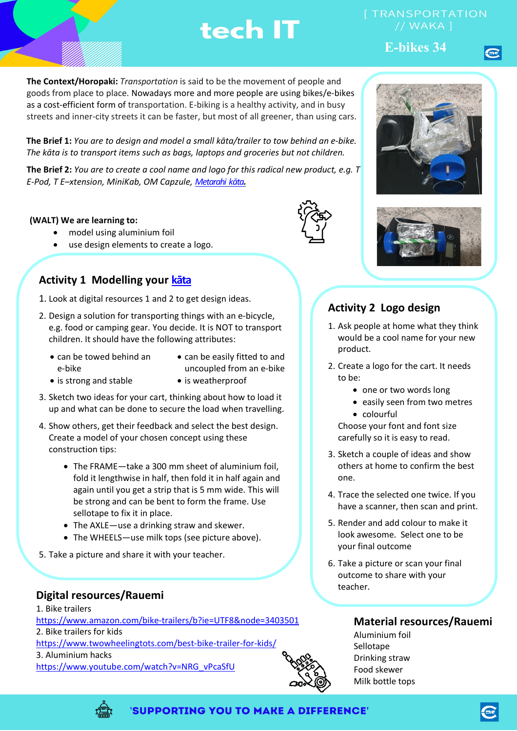// WAKA 1

**E-bikes 34**

**The Context/Horopaki:** *Transportation* is said to be the movement of people and goods from place to place. Nowadays more and more people are using bikes/e-bikes as a cost-efficient form of transportation. E-biking is a healthy activity, and in busy streets and inner-city streets it can be faster, but most of all greener, than using cars.

**The Brief 1:** *You are to design and model a small kāta/trailer to tow behind an e-bike. The kāta is to transport items such as bags, laptops and groceries but not children.* 

**The Brief 2:** *You are to create a cool name and logo for this radical new product, e.g. T E-Pod, T E–xtension, MiniKab, OM Capzule, [Metarahi](https://maoridictionary.co.nz/search?idiom=&phrase=&proverb=&loan=&histLoanWords=&keywords=great+) [kāta](https://maoridictionary.co.nz/search?idiom=&phrase=&proverb=&loan=&histLoanWords=&keywords=cart).*

#### **(WALT) We are learning to:**

- model using aluminium foil
- use design elements to create a logo.

# **Activity 1 Modelling your [kāta](https://maoridictionary.co.nz/search?idiom=&phrase=&proverb=&loan=&histLoanWords=&keywords=cart)**

- 1. Look at digital resources 1 and 2 to get design ideas.
- 2. Design a solution for transporting things with an e-bicycle, e.g. food or camping gear. You decide. It is NOT to transport children. It should have the following attributes:
	- can be towed behind an e-bike
- can be easily fitted to and uncoupled from an e-bike
- is strong and stable is weatherproof
- 
- 3. Sketch two ideas for your cart, thinking about how to load it up and what can be done to secure the load when travelling.
- 4. Show others, get their feedback and select the best design. Create a model of your chosen concept using these construction tips:
	- The FRAME—take a 300 mm sheet of aluminium foil, fold it lengthwise in half, then fold it in half again and again until you get a strip that is 5 mm wide. This will be strong and can be bent to form the frame. Use sellotape to fix it in place.
	- The AXLE—use a drinking straw and skewer.
	- The WHEELS—use milk tops (see picture above).
- 5. Take a picture and share it with your teacher.

### **Digital resources/Rauemi**

1. Bike trailers <https://www.amazon.com/bike-trailers/b?ie=UTF8&node=3403501> 2. Bike trailers for kids <https://www.twowheelingtots.com/best-bike-trailer-for-kids/> 3. Aluminium hacks [https://www.youtube.com/watch?v=NRG\\_vPcaSfU](https://www.youtube.com/watch?v=NRG_vPcaSfU)





## **Activity 2 Logo design**

- 1. Ask people at home what they think would be a cool name for your new product.
- 2. Create a logo for the cart. It needs to be:
	- one or two words long
	- easily seen from two metres
	- colourful

Choose your font and font size carefully so it is easy to read.

- 3. Sketch a couple of ideas and show others at home to confirm the best one.
- 4. Trace the selected one twice. If you have a scanner, then scan and print.
- 5. Render and add colour to make it look awesome. Select one to be your final outcome
- 6. Take a picture or scan your final outcome to share with your teacher.

### **Material resources/Rauemi**

Aluminium foil Sellotape Drinking straw Food skewer Milk bottle tops

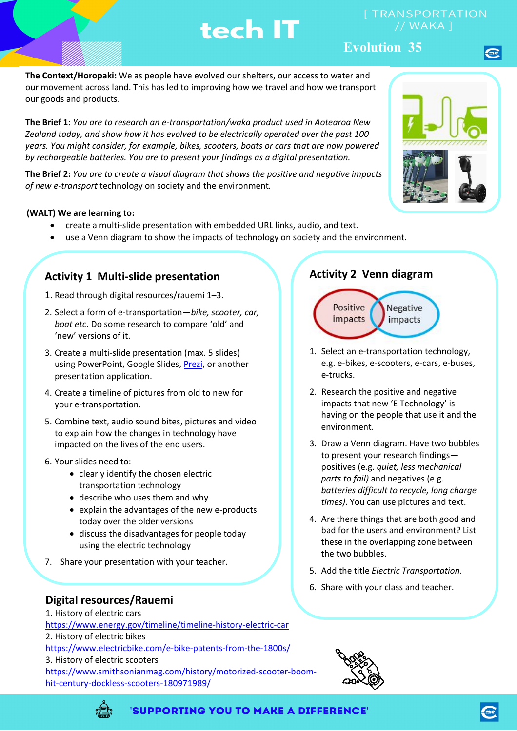//WAKA1

### **Evolution 35**

**The Context/Horopaki:** We as people have evolved our shelters, our access to water and our movement across land. This has led to improving how we travel and how we transport our goods and products.

**The Brief 1:** *You are to research an e-transportation/waka product used in Aotearoa New Zealand today, and show how it has evolved to be electrically operated over the past 100 years. You might consider, for example, bikes, scooters, boats or cars that are now powered by rechargeable batteries. You are to present your findings as a digital presentation.*

**The Brief 2:** *You are to create a visual diagram that shows the positive and negative impacts of new e-transport* technology on society and the environment*.*

#### **(WALT) We are learning to:**

- create a multi-slide presentation with embedded URL links, audio, and text.
- use a Venn diagram to show the impacts of technology on society and the environment.

#### **Activity 1 Multi-slide presentation**

- 1. Read through digital resources/rauemi 1–3.
- 2. Select a form of e-transportation—*bike, scooter, car, boat etc*. Do some research to compare 'old' and 'new' versions of it.
- 3. Create a multi-slide presentation (max. 5 slides) using PowerPoint, Google Slides, [Prezi,](https://prezi.com/) or another presentation application.
- 4. Create a timeline of pictures from old to new for your e-transportation.
- 5. Combine text, audio sound bites, pictures and video to explain how the changes in technology have impacted on the lives of the end users.
- 6. Your slides need to:
	- clearly identify the chosen electric transportation technology
	- describe who uses them and why
	- explain the advantages of the new e-products today over the older versions
	- discuss the disadvantages for people today using the electric technology
- 7. Share your presentation with your teacher.

#### **Digital resources/Rauemi**

1. History of electric cars

<https://www.energy.gov/timeline/timeline-history-electric-car>

2. History of electric bikes

<https://www.electricbike.com/e-bike-patents-from-the-1800s/>

3. History of electric scooters

[https://www.smithsonianmag.com/history/motorized-scooter-boom](https://www.smithsonianmag.com/history/motorized-scooter-boom-hit-century-dockless-scooters-180971989/)[hit-century-dockless-scooters-180971989/](https://www.smithsonianmag.com/history/motorized-scooter-boom-hit-century-dockless-scooters-180971989/)

#### **Activity 2 Venn diagram**



- 1. Select an e-transportation technology, e.g. e-bikes, e-scooters, e-cars, e-buses, e-trucks.
- 2. Research the positive and negative impacts that new 'E Technology' is having on the people that use it and the environment.
- 3. Draw a Venn diagram. Have two bubbles to present your research findings positives (e.g. *quiet, less mechanical parts to fail)* and negatives (e.g. *batteries difficult to recycle, long charge times)*. You can use pictures and text.
- 4. Are there things that are both good and bad for the users and environment? List these in the overlapping zone between the two bubbles.
- 5. Add the title *Electric Transportation*.
- 6. Share with your class and teacher.